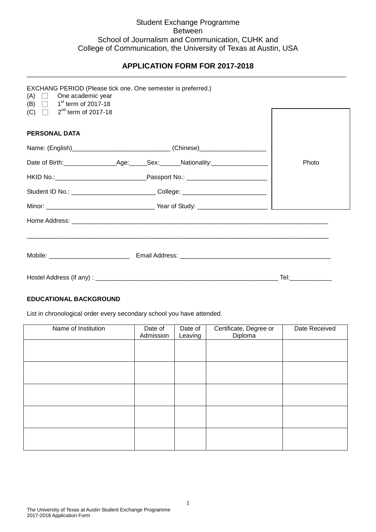## Student Exchange Programme Between School of Journalism and Communication, CUHK and College of Communication, the University of Texas at Austin, USA

#### **APPLICATION FORM FOR 2017-2018** \_\_\_\_\_\_\_\_\_\_\_\_\_\_\_\_\_\_\_\_\_\_\_\_\_\_\_\_\_\_\_\_\_\_\_\_\_\_\_\_\_\_\_\_\_\_\_\_\_\_\_\_\_\_\_\_\_\_\_\_\_\_\_\_\_\_\_\_\_\_\_\_\_\_\_\_\_\_\_\_\_\_\_\_\_\_\_\_\_\_\_

| $(A)$ $\Box$ One academic year<br>(B) $\Box$ 1 <sup>st</sup> term of 2017-18 | EXCHANG PERIOD (Please tick one. One semester is preferred.)                     |       |
|------------------------------------------------------------------------------|----------------------------------------------------------------------------------|-------|
| (C) $\Box$ 2 <sup>nd</sup> term of 2017-18                                   |                                                                                  |       |
| <b>PERSONAL DATA</b>                                                         |                                                                                  |       |
|                                                                              | Name: (English)________________________________(Chinese)________________________ |       |
|                                                                              |                                                                                  | Photo |
|                                                                              |                                                                                  |       |
|                                                                              | Student ID No.: ________________________________College: _______________________ |       |
|                                                                              |                                                                                  |       |
|                                                                              |                                                                                  |       |
|                                                                              |                                                                                  |       |
|                                                                              |                                                                                  |       |
|                                                                              |                                                                                  |       |

### **EDUCATIONAL BACKGROUND**

List in chronological order every secondary school you have attended.

| Name of Institution | Date of<br>Admission | Date of<br>Leaving | Certificate, Degree or<br>Diploma | Date Received |
|---------------------|----------------------|--------------------|-----------------------------------|---------------|
|                     |                      |                    |                                   |               |
|                     |                      |                    |                                   |               |
|                     |                      |                    |                                   |               |
|                     |                      |                    |                                   |               |
|                     |                      |                    |                                   |               |
|                     |                      |                    |                                   |               |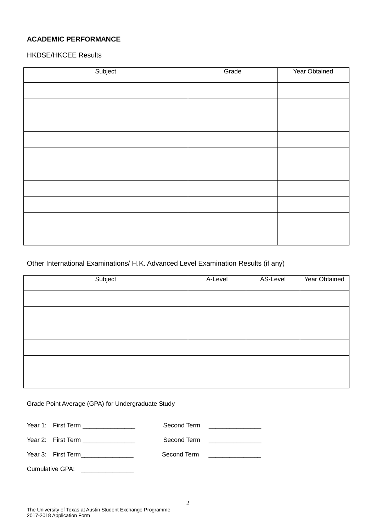# **ACADEMIC PERFORMANCE**

HKDSE/HKCEE Results

| Subject | Grade | Year Obtained |
|---------|-------|---------------|
|         |       |               |
|         |       |               |
|         |       |               |
|         |       |               |
|         |       |               |
|         |       |               |
|         |       |               |
|         |       |               |
|         |       |               |
|         |       |               |
|         |       |               |

# Other International Examinations/ H.K. Advanced Level Examination Results (if any)

| Subject | A-Level | AS-Level | Year Obtained |
|---------|---------|----------|---------------|
|         |         |          |               |
|         |         |          |               |
|         |         |          |               |
|         |         |          |               |
|         |         |          |               |
|         |         |          |               |

Grade Point Average (GPA) for Undergraduate Study

|                 | Year 1: First Term ________________  |             | Second Term ________________                        |
|-----------------|--------------------------------------|-------------|-----------------------------------------------------|
|                 | Year 2: First Term _________________ |             | Second Term <u>______________</u>                   |
|                 | Year 3: First Term________________   | Second Term | <u> 1980 - Jan James James III, prestavlja i po</u> |
| Cumulative GPA: |                                      |             |                                                     |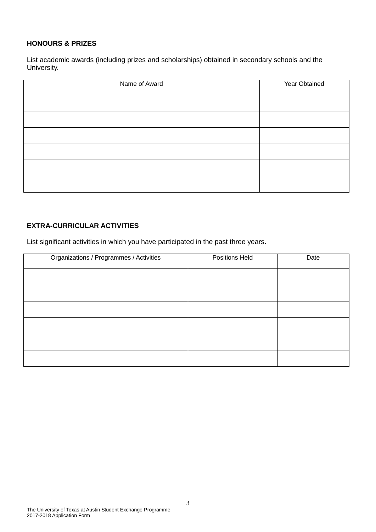## **HONOURS & PRIZES**

List academic awards (including prizes and scholarships) obtained in secondary schools and the University.

| Name of Award | Year Obtained |
|---------------|---------------|
|               |               |
|               |               |
|               |               |
|               |               |
|               |               |
|               |               |

# **EXTRA-CURRICULAR ACTIVITIES**

List significant activities in which you have participated in the past three years.

| Organizations / Programmes / Activities | Positions Held | Date |
|-----------------------------------------|----------------|------|
|                                         |                |      |
|                                         |                |      |
|                                         |                |      |
|                                         |                |      |
|                                         |                |      |
|                                         |                |      |